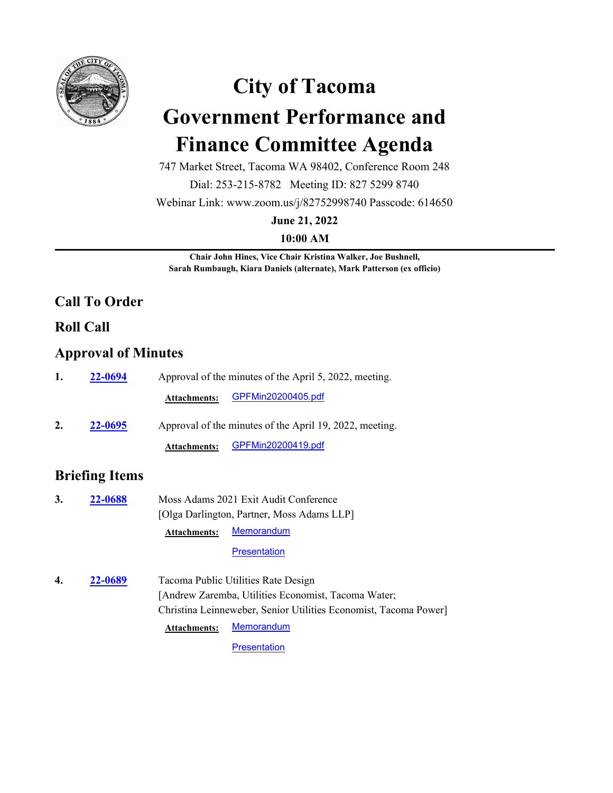

# **City of Tacoma Government Performance and Finance Committee Agenda**

747 Market Street, Tacoma WA 98402, Conference Room 248

Dial: 253-215-8782 Meeting ID: 827 5299 8740

Webinar Link: www.zoom.us/j/82752998740 Passcode: 614650

**June 21, 2022**

**10:00 AM**

**Chair John Hines, Vice Chair Kristina Walker, Joe Bushnell, Sarah Rumbaugh, Kiara Daniels (alternate), Mark Patterson (ex officio)**

# **Call To Order**

## **Roll Call**

## **Approval of Minutes**

| 1. | 22-0694        | Approval of the minutes of the April 5, 2022, meeting.  |  |  |
|----|----------------|---------------------------------------------------------|--|--|
|    |                | GPFMin20200405.pdf<br><b>Attachments:</b>               |  |  |
| 2. | <b>22-0695</b> | Approval of the minutes of the April 19, 2022, meeting. |  |  |
|    |                | GPFMin20200419.pdf<br><b>Attachments:</b>               |  |  |

# **Briefing Items**

**3. 22-0688** Moss Adams 2021 Exit Audit Conference [Olga Darlington, Partner, Moss Adams LLP] **22-0688 Attachments:** [Memorandum](http://cityoftacoma.legistar.com/gateway.aspx?M=F&ID=a6a30063-05df-4144-8e3e-52612197168e.pdf)

#### **[Presentation](http://cityoftacoma.legistar.com/gateway.aspx?M=F&ID=ed59119f-bf0f-4bee-b843-f80f57671d80.pdf)**

**4. 22-0689** Tacoma Public Utilities Rate Design [Andrew Zaremba, Utilities Economist, Tacoma Water; Christina Leinneweber, Senior Utilities Economist, Tacoma Power] **22-0689 Attachments:** [Memorandum](http://cityoftacoma.legistar.com/gateway.aspx?M=F&ID=0cf74a7a-ed30-41d6-a005-e015666e89b2.pdf)

**[Presentation](http://cityoftacoma.legistar.com/gateway.aspx?M=F&ID=9457ae5f-aa0d-45db-9f52-106f6b2020e0.pdf)**